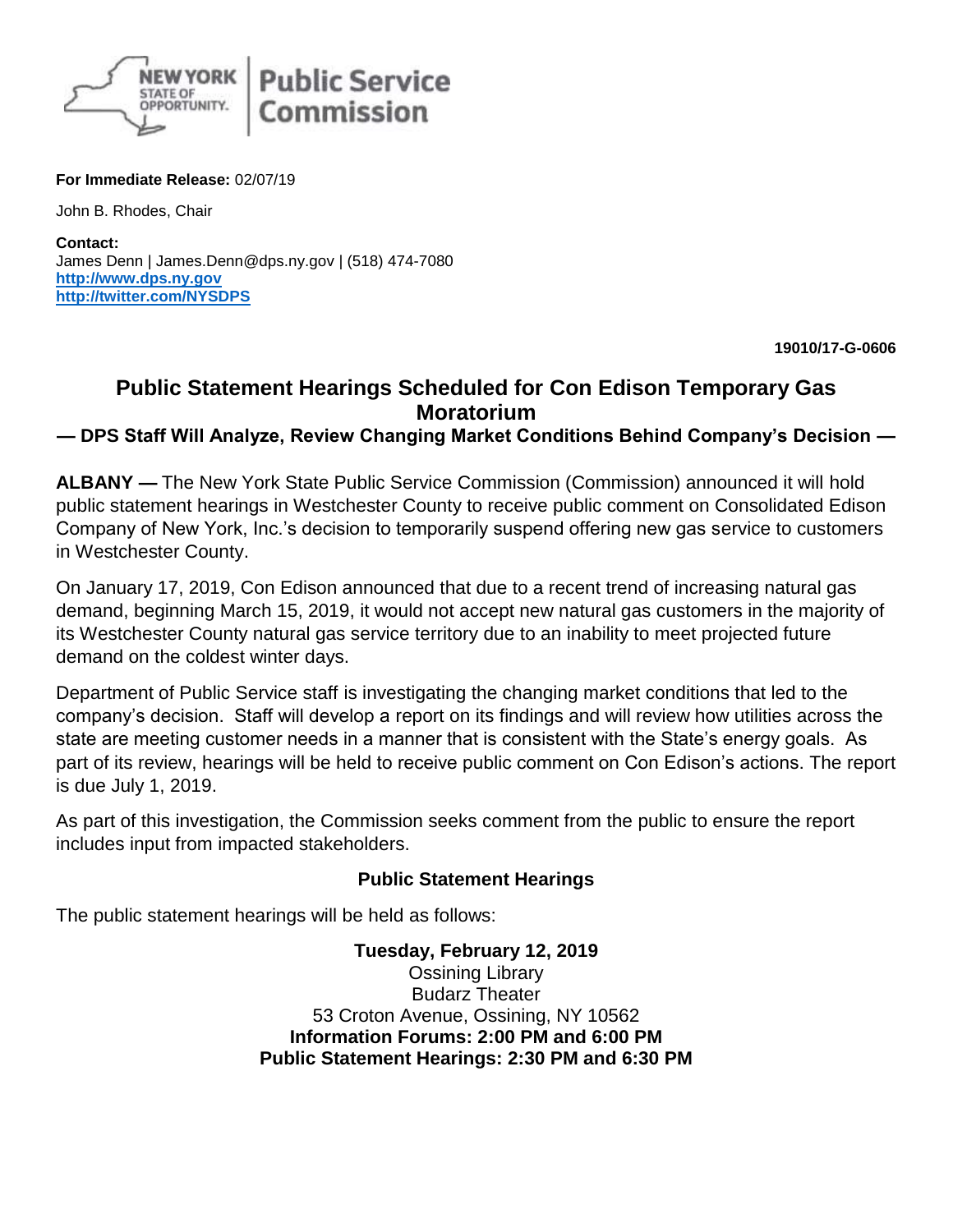

**For Immediate Release:** 02/07/19

John B. Rhodes, Chair

**Contact:** James Denn | James.Denn@dps.ny.gov | (518) 474-7080 **[http://www.dps.ny.gov](http://www.dps.ny.gov/) <http://twitter.com/NYSDPS>**

**19010/17-G-0606**

## **Public Statement Hearings Scheduled for Con Edison Temporary Gas Moratorium**

**— DPS Staff Will Analyze, Review Changing Market Conditions Behind Company's Decision —**

**ALBANY —** The New York State Public Service Commission (Commission) announced it will hold public statement hearings in Westchester County to receive public comment on Consolidated Edison Company of New York, Inc.'s decision to temporarily suspend offering new gas service to customers in Westchester County.

On January 17, 2019, Con Edison announced that due to a recent trend of increasing natural gas demand, beginning March 15, 2019, it would not accept new natural gas customers in the majority of its Westchester County natural gas service territory due to an inability to meet projected future demand on the coldest winter days.

Department of Public Service staff is investigating the changing market conditions that led to the company's decision. Staff will develop a report on its findings and will review how utilities across the state are meeting customer needs in a manner that is consistent with the State's energy goals. As part of its review, hearings will be held to receive public comment on Con Edison's actions. The report is due July 1, 2019.

As part of this investigation, the Commission seeks comment from the public to ensure the report includes input from impacted stakeholders.

## **Public Statement Hearings**

The public statement hearings will be held as follows:

**Tuesday, February 12, 2019** Ossining Library Budarz Theater 53 Croton Avenue, Ossining, NY 10562 **Information Forums: 2:00 PM and 6:00 PM Public Statement Hearings: 2:30 PM and 6:30 PM**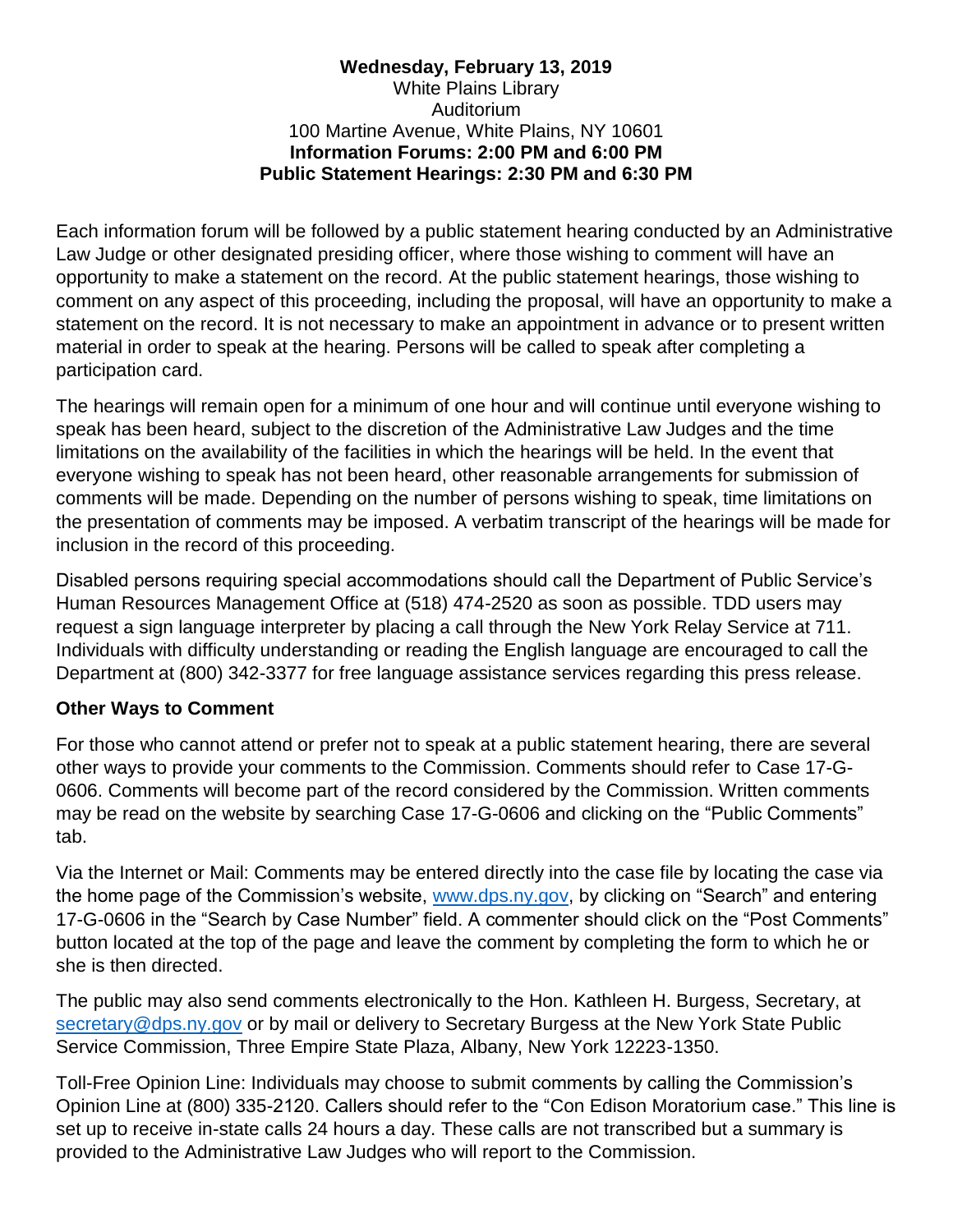## **Wednesday, February 13, 2019** White Plains Library Auditorium 100 Martine Avenue, White Plains, NY 10601 **Information Forums: 2:00 PM and 6:00 PM Public Statement Hearings: 2:30 PM and 6:30 PM**

Each information forum will be followed by a public statement hearing conducted by an Administrative Law Judge or other designated presiding officer, where those wishing to comment will have an opportunity to make a statement on the record. At the public statement hearings, those wishing to comment on any aspect of this proceeding, including the proposal, will have an opportunity to make a statement on the record. It is not necessary to make an appointment in advance or to present written material in order to speak at the hearing. Persons will be called to speak after completing a participation card.

The hearings will remain open for a minimum of one hour and will continue until everyone wishing to speak has been heard, subject to the discretion of the Administrative Law Judges and the time limitations on the availability of the facilities in which the hearings will be held. In the event that everyone wishing to speak has not been heard, other reasonable arrangements for submission of comments will be made. Depending on the number of persons wishing to speak, time limitations on the presentation of comments may be imposed. A verbatim transcript of the hearings will be made for inclusion in the record of this proceeding.

Disabled persons requiring special accommodations should call the Department of Public Service's Human Resources Management Office at (518) 474-2520 as soon as possible. TDD users may request a sign language interpreter by placing a call through the New York Relay Service at 711. Individuals with difficulty understanding or reading the English language are encouraged to call the Department at (800) 342-3377 for free language assistance services regarding this press release.

## **Other Ways to Comment**

For those who cannot attend or prefer not to speak at a public statement hearing, there are several other ways to provide your comments to the Commission. Comments should refer to Case 17-G-0606. Comments will become part of the record considered by the Commission. Written comments may be read on the website by searching Case 17-G-0606 and clicking on the "Public Comments" tab.

Via the Internet or Mail: Comments may be entered directly into the case file by locating the case via the home page of the Commission's website, [www.dps.ny.gov,](http://www.dps.ny.gov/) by clicking on "Search" and entering 17-G-0606 in the "Search by Case Number" field. A commenter should click on the "Post Comments" button located at the top of the page and leave the comment by completing the form to which he or she is then directed.

The public may also send comments electronically to the Hon. Kathleen H. Burgess, Secretary, at [secretary@dps.ny.gov](mailto:secretary@dps.ny.gov) or by mail or delivery to Secretary Burgess at the New York State Public Service Commission, Three Empire State Plaza, Albany, New York 12223-1350.

Toll-Free Opinion Line: Individuals may choose to submit comments by calling the Commission's Opinion Line at (800) 335-2120. Callers should refer to the "Con Edison Moratorium case." This line is set up to receive in-state calls 24 hours a day. These calls are not transcribed but a summary is provided to the Administrative Law Judges who will report to the Commission.